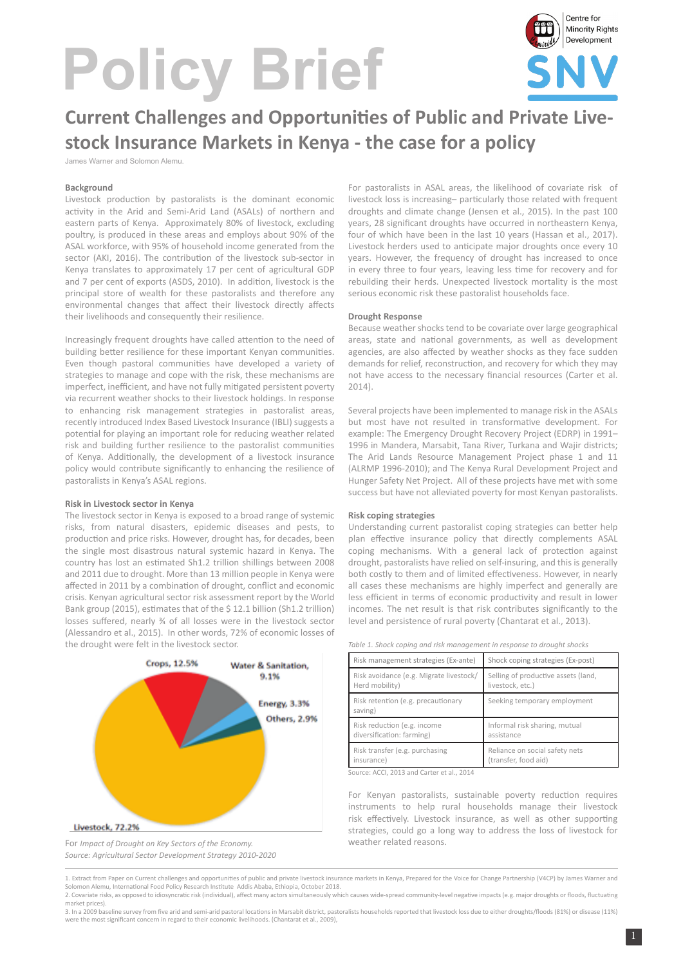# **Policy Brief**



# **Current Challenges and Opportunities of Public and Private Livestock Insurance Markets in Kenya - the case for a policy**

James Warner and Solomon Alemu.

#### **Background**

Livestock production by pastoralists is the dominant economic activity in the Arid and Semi-Arid Land (ASALs) of northern and eastern parts of Kenya. Approximately 80% of livestock, excluding poultry, is produced in these areas and employs about 90% of the ASAL workforce, with 95% of household income generated from the sector (AKI, 2016). The contribution of the livestock sub-sector in Kenya translates to approximately 17 per cent of agricultural GDP and 7 per cent of exports (ASDS, 2010). In addition, livestock is the principal store of wealth for these pastoralists and therefore any environmental changes that affect their livestock directly affects their livelihoods and consequently their resilience.

Increasingly frequent droughts have called attention to the need of building better resilience for these important Kenyan communities. Even though pastoral communities have developed a variety of strategies to manage and cope with the risk, these mechanisms are imperfect, inefficient, and have not fully mitigated persistent poverty via recurrent weather shocks to their livestock holdings. In response to enhancing risk management strategies in pastoralist areas, recently introduced Index Based Livestock Insurance (IBLI) suggests a potential for playing an important role for reducing weather related risk and building further resilience to the pastoralist communities of Kenya. Additionally, the development of a livestock insurance policy would contribute significantly to enhancing the resilience of pastoralists in Kenya's ASAL regions.

#### **Risk in Livestock sector in Kenya**

The livestock sector in Kenya is exposed to a broad range of systemic risks, from natural disasters, epidemic diseases and pests, to production and price risks. However, drought has, for decades, been the single most disastrous natural systemic hazard in Kenya. The country has lost an estimated Sh1.2 trillion shillings between 2008 and 2011 due to drought. More than 13 million people in Kenya were affected in 2011 by a combination of drought, conflict and economic crisis. Kenyan agricultural sector risk assessment report by the World Bank group (2015), estimates that of the \$ 12.1 billion (Sh1.2 trillion) losses suffered, nearly ¾ of all losses were in the livestock sector (Alessandro et al., 2015). In other words, 72% of economic losses of the drought were felt in the livestock sector.



For *Impact of Drought on Key Sectors of the Economy. Source: Agricultural Sector Development Strategy 2010-2020*

For pastoralists in ASAL areas, the likelihood of covariate risk of livestock loss is increasing– particularly those related with frequent droughts and climate change (Jensen et al., 2015). In the past 100 years, 28 significant droughts have occurred in northeastern Kenya, four of which have been in the last 10 years (Hassan et al., 2017). Livestock herders used to anticipate major droughts once every 10 years. However, the frequency of drought has increased to once in every three to four years, leaving less time for recovery and for rebuilding their herds. Unexpected livestock mortality is the most serious economic risk these pastoralist households face.

#### **Drought Response**

Because weather shocks tend to be covariate over large geographical areas, state and national governments, as well as development agencies, are also affected by weather shocks as they face sudden demands for relief, reconstruction, and recovery for which they may not have access to the necessary financial resources (Carter et al.  $2014$ 

Several projects have been implemented to manage risk in the ASALs but most have not resulted in transformative development. For example: The Emergency Drought Recovery Project (EDRP) in 1991– 1996 in Mandera, Marsabit, Tana River, Turkana and Wajir districts; The Arid Lands Resource Management Project phase 1 and 11 (ALRMP 1996-2010); and The Kenya Rural Development Project and Hunger Safety Net Project. All of these projects have met with some success but have not alleviated poverty for most Kenyan pastoralists.

#### **Risk coping strategies**

Understanding current pastoralist coping strategies can better help plan effective insurance policy that directly complements ASAL coping mechanisms. With a general lack of protection against drought, pastoralists have relied on self-insuring, and this is generally both costly to them and of limited effectiveness. However, in nearly all cases these mechanisms are highly imperfect and generally are less efficient in terms of economic productivity and result in lower incomes. The net result is that risk contributes significantly to the level and persistence of rural poverty (Chantarat et al., 2013).

| Table 1. Shock coping and risk management in response to drought shocks |  |
|-------------------------------------------------------------------------|--|
|-------------------------------------------------------------------------|--|

| Risk management strategies (Ex-ante)          | Shock coping strategies (Ex-post)   |
|-----------------------------------------------|-------------------------------------|
| Risk avoidance (e.g. Migrate livestock/       | Selling of productive assets (land, |
| Herd mobility)                                | livestock, etc.)                    |
| Risk retention (e.g. precautionary<br>saving) | Seeking temporary employment        |
| Risk reduction (e.g. income                   | Informal risk sharing, mutual       |
| diversification: farming)                     | assistance                          |
| Risk transfer (e.g. purchasing                | Reliance on social safety nets      |
| insurance)                                    | (transfer, food aid)                |

Source: ACCI, 2013 and Carter et al., 2014

For Kenyan pastoralists, sustainable poverty reduction requires instruments to help rural households manage their livestock risk effectively. Livestock insurance, as well as other supporting strategies, could go a long way to address the loss of livestock for weather related reasons.

1. Extract from Paper on Current challenges and opportunities of public and private livestock insurance markets in Kenya, Prepared for the Voice for Change Partnership (V4CP) by James Warner and Solomon Alemu, International Food Policy Research Institute Addis Ababa, Ethiopia, October 2018. 2. Covariate risks, as opposed to idiosyncratic risk (individual), affect many actors simultaneously which causes wide-spread community-level negative impacts (e.g. major droughts or floods, fluctuating

market prices). 3. In a 2009 baseline survey from five arid and semi-arid pastoral locations in Marsabit district, pastoralists households reported that livestock loss due to either droughts/floods (81%) or disease (11%)

were the most significant concern in regard to their economic livelihoods. (Chantarat et al., 2009)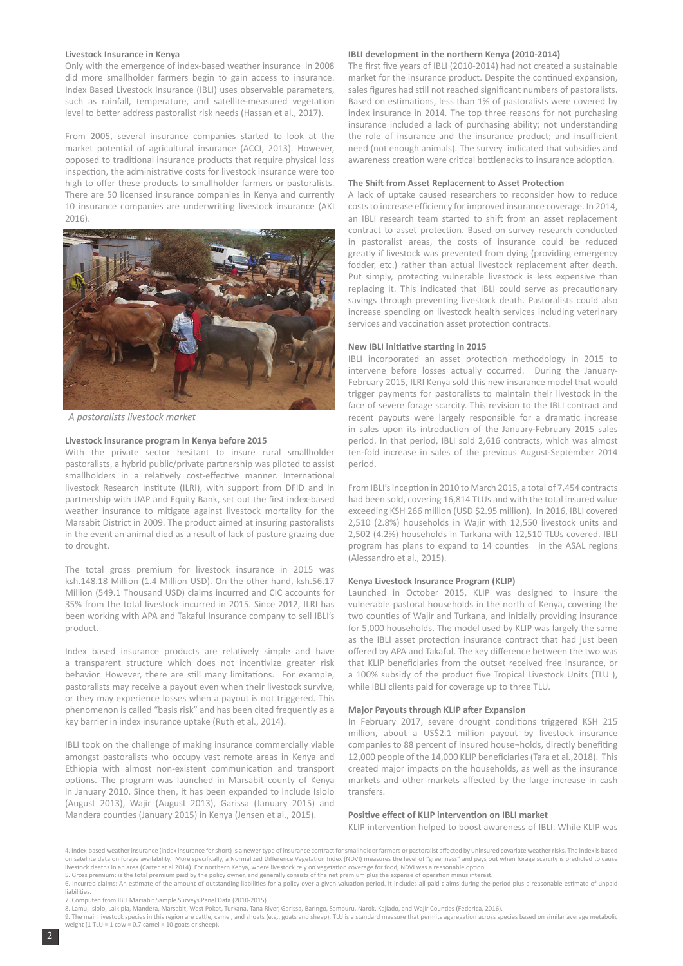#### **Livestock Insurance in Kenya**

Only with the emergence of index-based weather insurance in 2008 did more smallholder farmers begin to gain access to insurance. Index Based Livestock Insurance (IBLI) uses observable parameters, such as rainfall, temperature, and satellite-measured vegetation level to better address pastoralist risk needs (Hassan et al., 2017).

From 2005, several insurance companies started to look at the market potential of agricultural insurance (ACCI, 2013). However, opposed to traditional insurance products that require physical loss inspection, the administrative costs for livestock insurance were too high to offer these products to smallholder farmers or pastoralists. There are 50 licensed insurance companies in Kenya and currently 10 insurance companies are underwriting livestock insurance (AKI 2016)



A pastoralists livestock market

#### **Livestock insurance program in Kenya before 2015**

With the private sector hesitant to insure rural smallholder pastoralists, a hybrid public/private partnership was piloted to assist smallholders in a relatively cost-effective manner. International livestock Research Institute (ILRI), with support from DFID and in partnership with UAP and Equity Bank, set out the first index-based weather insurance to mitigate against livestock mortality for the Marsabit District in 2009. The product aimed at insuring pastoralists in the event an animal died as a result of lack of pasture grazing due to drought.

The total gross premium for livestock insurance in 2015 was ksh.148.18 Million (1.4 Million USD). On the other hand, ksh.56.17 Million (549.1 Thousand USD) claims incurred and CIC accounts for 35% from the total livestock incurred in 2015. Since 2012, ILRI has been working with APA and Takaful Insurance company to sell IBLI's product.

Index based insurance products are relatively simple and have a transparent structure which does not incentivize greater risk behavior. However, there are still many limitations. For example, pastoralists may receive a payout even when their livestock survive, or they may experience losses when a payout is not triggered. This phenomenon is called "basis risk" and has been cited frequently as a key barrier in index insurance uptake (Ruth et al., 2014).

IBLI took on the challenge of making insurance commercially viable amongst pastoralists who occupy vast remote areas in Kenya and Ethiopia with almost non-existent communication and transport options. The program was launched in Marsabit county of Kenya in January 2010. Since then, it has been expanded to include Isiolo (August 2013), Wajir (August 2013), Garissa (January 2015) and Mandera counties (January 2015) in Kenya (Jensen et al., 2015).

#### **IBLI development in the northern Kenya (2010-2014)**

The first five years of IBLI (2010-2014) had not created a sustainable market for the insurance product. Despite the continued expansion, sales figures had still not reached significant numbers of pastoralists. Based on estimations, less than 1% of pastoralists were covered by index insurance in 2014. The top three reasons for not purchasing insurance included a lack of purchasing ability; not understanding the role of insurance and the insurance product; and insufficient need (not enough animals). The survey indicated that subsidies and awareness creation were critical bottlenecks to insurance adoption.

#### **The Shift from Asset Replacement to Asset Protection**

A lack of uptake caused researchers to reconsider how to reduce costs to increase efficiency for improved insurance coverage. In 2014, an IBLI research team started to shift from an asset replacement contract to asset protection. Based on survey research conducted in pastoralist areas, the costs of insurance could be reduced greatly if livestock was prevented from dying (providing emergency fodder, etc.) rather than actual livestock replacement after death. Put simply, protecting vulnerable livestock is less expensive than replacing it. This indicated that IBLI could serve as precautionary savings through preventing livestock death. Pastoralists could also increase spending on livestock health services including veterinary services and vaccination asset protection contracts.

#### **New IBLI initiative starting in 2015**

IBLI incorporated an asset protection methodology in 2015 to intervene before losses actually occurred. During the January-February 2015, ILRI Kenya sold this new insurance model that would trigger payments for pastoralists to maintain their livestock in the face of severe forage scarcity. This revision to the IBLI contract and recent payouts were largely responsible for a dramatic increase in sales upon its introduction of the January-February 2015 sales period. In that period, IBLI sold 2,616 contracts, which was almost ten-fold increase in sales of the previous August-September 2014 period.

From IBLI's inception in 2010 to March 2015, a total of 7,454 contracts had been sold, covering 16,814 TLUs and with the total insured value exceeding KSH 266 million (USD \$2.95 million). In 2016, IBLI covered 2,510 (2.8%) households in Wajir with 12,550 livestock units and 2,502 (4.2%) households in Turkana with 12,510 TLUs covered. IBLI program has plans to expand to 14 counties in the ASAL regions (Alessandro et al., 2015).

#### **Kenya Livestock Insurance Program (KLIP)**

Launched in October 2015, KLIP was designed to insure the vulnerable pastoral households in the north of Kenya, covering the two counties of Wajir and Turkana, and initially providing insurance for 5,000 households. The model used by KLIP was largely the same as the IBLI asset protection insurance contract that had just been offered by APA and Takaful. The key difference between the two was that KLIP beneficiaries from the outset received free insurance, or a 100% subsidy of the product five Tropical Livestock Units (TLU ), while IBLI clients paid for coverage up to three TLU.

#### **Major Payouts through KLIP after Expansion**

In February 2017, severe drought conditions triggered KSH 215 million, about a US\$2.1 million payout by livestock insurance companies to 88 percent of insured house¬holds, directly benefiting 12,000 people of the 14,000 KLIP beneficiaries (Tara et al.,2018). This created major impacts on the households, as well as the insurance markets and other markets affected by the large increase in cash transfers.

#### **Positive effect of KLIP intervention on IBLI market**

KLIP intervention helped to boost awareness of IBLI. While KLIP was

<sup>4.</sup> Index-based weather insurance (index insurance for short) is a newer type of insurance contract for smallholder farmers or pastoralist affected by uninsured covariate weather risks. The index is based on satellite data on forage availability. More specifically, a Normalized Difference Vegetation Index (NDVI) measures the level of "greenness" and pays out when forage scarcity is predicted to cause livestock deaths in an area (Carter et al 2014). For northern Kenya, where livestock rely on vegetation coverage for food, NDVI was a reasonable option.<br>5. Gross premium: is the total premium paid by the policy owner, and

<sup>6.</sup> Incurred claims: An estimate of the amount of outstanding liabilities for a policy over a given valuation period. It includes all paid claims during the period plus a reasonable estimate of unpaid liabilities.

<sup>7.</sup> Computed from IBLI Marsabit Sample Surveys Panel Data (2010-2015)

<sup>8.</sup> Lamu, Isiolo, Laikipia, Mandera, Marsabit, West Pokot, Turkana, Tana River, Garissa, Baringo, Samburu, Narok, Kajiado, and Wajir Counties (Federica, 2016).

<sup>9.</sup> The main livestock species in this region are cattle, camel, and shoats (e.g., goats and sheep). TLU is a standard measure that permits aggregation across species based on similar average metabolic weight (1 TLU = 1 cow = 0.7 camel = 10 goats or sheep).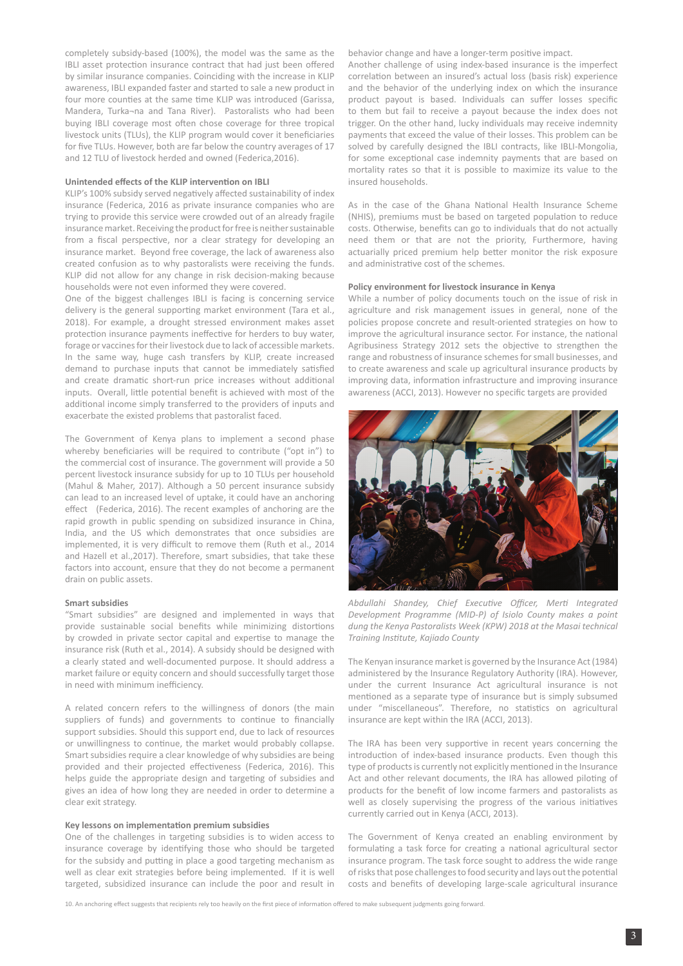completely subsidy-based (100%), the model was the same as the IBLI asset protection insurance contract that had just been offered by similar insurance companies. Coinciding with the increase in KLIP awareness, IBLI expanded faster and started to sale a new product in four more counties at the same time KLIP was introduced (Garissa, Mandera, Turka¬na and Tana River). Pastoralists who had been buying IBLI coverage most often chose coverage for three tropical livestock units (TLUs), the KLIP program would cover it beneficiaries for five TLUs. However, both are far below the country averages of 17 and 12 TLU of livestock herded and owned (Federica,2016).

#### **Unintended effects of the KLIP intervention on IBLI**

KLIP's 100% subsidy served negatively affected sustainability of index insurance (Federica, 2016 as private insurance companies who are trying to provide this service were crowded out of an already fragile insurance market. Receiving the product for free is neither sustainable from a fiscal perspective, nor a clear strategy for developing an insurance market. Beyond free coverage, the lack of awareness also created confusion as to why pastoralists were receiving the funds. KLIP did not allow for any change in risk decision-making because households were not even informed they were covered.

One of the biggest challenges IBLI is facing is concerning service delivery is the general supporting market environment (Tara et al., 2018). For example, a drought stressed environment makes asset protection insurance payments ineffective for herders to buy water, forage or vaccines for their livestock due to lack of accessible markets. In the same way, huge cash transfers by KLIP, create increased demand to purchase inputs that cannot be immediately satisfied and create dramatic short-run price increases without additional inputs. Overall, little potential benefit is achieved with most of the additional income simply transferred to the providers of inputs and exacerbate the existed problems that pastoralist faced.

The Government of Kenya plans to implement a second phase whereby beneficiaries will be required to contribute ("opt in") to the commercial cost of insurance. The government will provide a 50 percent livestock insurance subsidy for up to 10 TLUs per household (Mahul & Maher, 2017). Although a 50 percent insurance subsidy can lead to an increased level of uptake, it could have an anchoring effect (Federica, 2016). The recent examples of anchoring are the rapid growth in public spending on subsidized insurance in China, India, and the US which demonstrates that once subsidies are implemented, it is very difficult to remove them (Ruth et al., 2014 and Hazell et al.,2017). Therefore, smart subsidies, that take these factors into account, ensure that they do not become a permanent drain on public assets.

#### **Smart subsidies**

"Smart subsidies" are designed and implemented in ways that provide sustainable social benefits while minimizing distortions by crowded in private sector capital and expertise to manage the insurance risk (Ruth et al., 2014). A subsidy should be designed with a clearly stated and well-documented purpose. It should address a market failure or equity concern and should successfully target those in need with minimum inefficiency.

A related concern refers to the willingness of donors (the main suppliers of funds) and governments to continue to financially support subsidies. Should this support end, due to lack of resources or unwillingness to continue, the market would probably collapse. Smart subsidies require a clear knowledge of why subsidies are being provided and their projected effectiveness (Federica, 2016). This helps guide the appropriate design and targeting of subsidies and gives an idea of how long they are needed in order to determine a clear exit strategy.

#### **Key lessons on implementation premium subsidies**

One of the challenges in targeting subsidies is to widen access to insurance coverage by identifying those who should be targeted for the subsidy and putting in place a good targeting mechanism as well as clear exit strategies before being implemented. If it is well targeted, subsidized insurance can include the poor and result in behavior change and have a longer-term positive impact.

Another challenge of using index-based insurance is the imperfect correlation between an insured's actual loss (basis risk) experience and the behavior of the underlying index on which the insurance product payout is based. Individuals can suffer losses specific to them but fail to receive a payout because the index does not trigger. On the other hand, lucky individuals may receive indemnity payments that exceed the value of their losses. This problem can be solved by carefully designed the IBLI contracts, like IBLI-Mongolia, for some exceptional case indemnity payments that are based on mortality rates so that it is possible to maximize its value to the insured households.

As in the case of the Ghana National Health Insurance Scheme (NHIS), premiums must be based on targeted population to reduce costs. Otherwise, benefits can go to individuals that do not actually need them or that are not the priority, Furthermore, having actuarially priced premium help better monitor the risk exposure and administrative cost of the schemes.

#### **Policy environment for livestock insurance in Kenya**

While a number of policy documents touch on the issue of risk in agriculture and risk management issues in general, none of the policies propose concrete and result-oriented strategies on how to improve the agricultural insurance sector. For instance, the national Agribusiness Strategy 2012 sets the objective to strengthen the range and robustness of insurance schemes for small businesses, and to create awareness and scale up agricultural insurance products by improving data, information infrastructure and improving insurance awareness (ACCI, 2013). However no specific targets are provided



*Abdullahi Shandey, Chief Executive Officer, Merti Integrated Development Programme (MID-P) of Isiolo County makes a point dung the Kenya Pastoralists Week (KPW) 2018 at the Masai technical Training Institute, Kajiado County* 

The Kenyan insurance market is governed by the Insurance Act (1984) administered by the Insurance Regulatory Authority (IRA). However, under the current Insurance Act agricultural insurance is not mentioned as a separate type of insurance but is simply subsumed under "miscellaneous". Therefore, no statistics on agricultural insurance are kept within the IRA (ACCI, 2013).

The IRA has been very supportive in recent years concerning the introduction of index-based insurance products. Even though this type of products is currently not explicitly mentioned in the Insurance Act and other relevant documents, the IRA has allowed piloting of products for the benefit of low income farmers and pastoralists as well as closely supervising the progress of the various initiatives currently carried out in Kenya (ACCI, 2013).

The Government of Kenya created an enabling environment by formulating a task force for creating a national agricultural sector insurance program. The task force sought to address the wide range of risks that pose challenges to food security and lays out the potential costs and benefits of developing large-scale agricultural insurance

10. An anchoring effect suggests that recipients rely too heavily on the first piece of information offered to make subsequent judgments going forward.